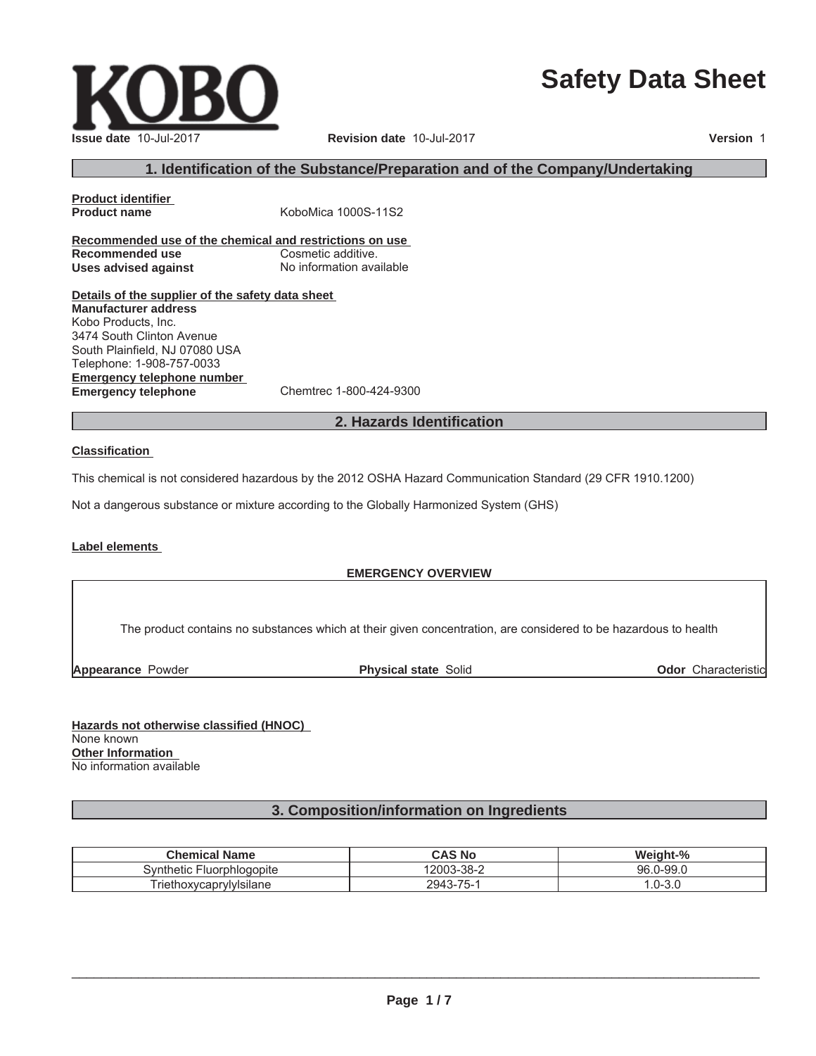# **Safety Data Sheet**

 $\_$  ,  $\_$  ,  $\_$  ,  $\_$  ,  $\_$  ,  $\_$  ,  $\_$  ,  $\_$  ,  $\_$  ,  $\_$  ,  $\_$  ,  $\_$  ,  $\_$  ,  $\_$  ,  $\_$  ,  $\_$  ,  $\_$  ,  $\_$  ,  $\_$  ,  $\_$  ,  $\_$  ,  $\_$  ,  $\_$  ,  $\_$  ,  $\_$  ,  $\_$  ,  $\_$  ,  $\_$  ,  $\_$  ,  $\_$  ,  $\_$  ,  $\_$  ,  $\_$  ,  $\_$  ,  $\_$  ,  $\_$  ,  $\_$  ,

# **1. Identification of the Substance/Preparation and of the Company/Undertaking**

**Product identifier**

**Recommended use of the chemical and restrictions on use Recommended use** Cosmetic additive. **Uses advised against** No information available

**Details of the supplier of the safety data sheet Emergency telephone number Emergency telephone** Chemtrec 1-800-424-9300 **Manufacturer address** Kobo Products, Inc. 3474 South Clinton Avenue South Plainfield, NJ 07080 USA Telephone: 1-908-757-0033

#### **2. Hazards Identification**

#### **Classification**

This chemical is not considered hazardous by the 2012 OSHA Hazard Communication Standard (29 CFR 1910.1200)

Not a dangerous substance or mixture according to the Globally Harmonized System (GHS)

**Product name** KoboMica 1000S-11S2

#### **Label elements**

#### **EMERGENCY OVERVIEW**

The product contains no substances which at their given concentration, are considered to be hazardous to health

**Appearance** Powder **Physical state** Solid

**Odor** Characteristic

**Hazards not otherwise classified (HNOC)** None known **Other Information** No information available

#### **3. Composition/information on Ingredients**

| <b>Chemical Name</b>                        | CAS No     | Weight-%           |
|---------------------------------------------|------------|--------------------|
| <b>Fluorphiogopite</b><br>Svnthetic         | 12003-38-2 | 96.<br>$.0 - 99.0$ |
| $ -$<br>$\cdots$<br>FriethoxycaprylyIsilane | 2943-75-   | $\sim$<br>.u-ง.u   |

| <b>Issue date 10-Jul-2017</b> |
|-------------------------------|

**Issue date** 10-Jul-2017 **Revision date** 10-Jul-2017 **Version** 1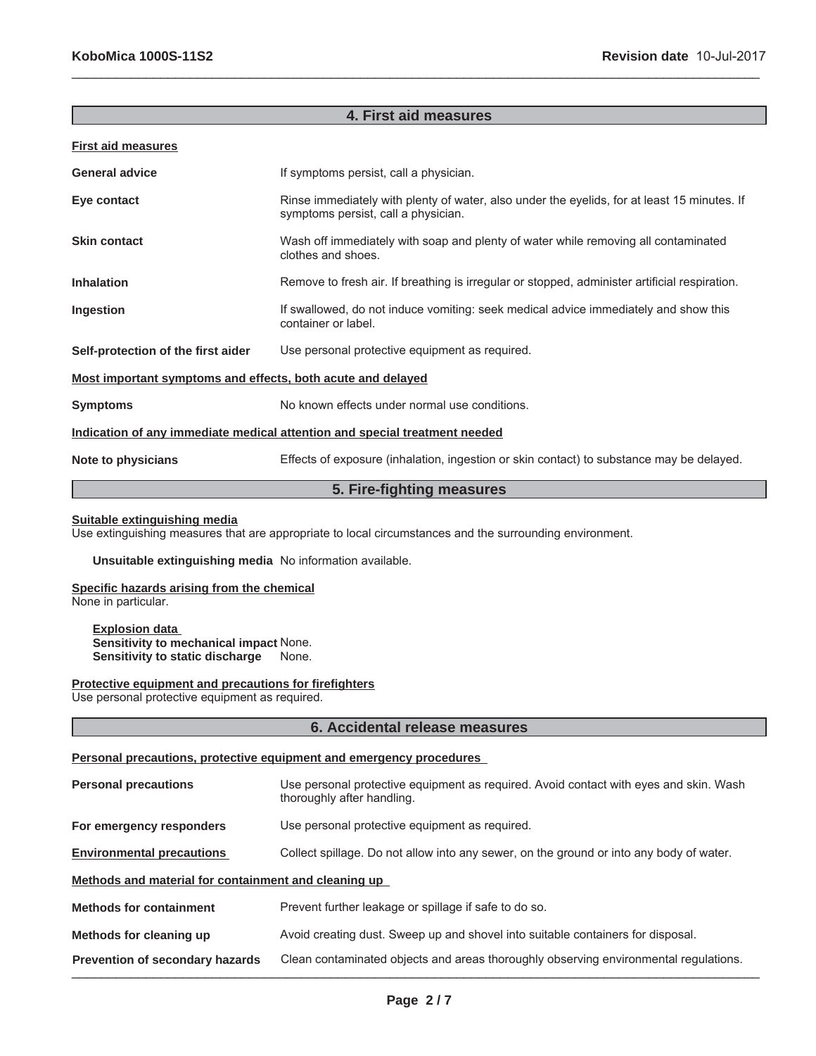#### **4. First aid measures**

 $\_$  ,  $\_$  ,  $\_$  ,  $\_$  ,  $\_$  ,  $\_$  ,  $\_$  ,  $\_$  ,  $\_$  ,  $\_$  ,  $\_$  ,  $\_$  ,  $\_$  ,  $\_$  ,  $\_$  ,  $\_$  ,  $\_$  ,  $\_$  ,  $\_$  ,  $\_$  ,  $\_$  ,  $\_$  ,  $\_$  ,  $\_$  ,  $\_$  ,  $\_$  ,  $\_$  ,  $\_$  ,  $\_$  ,  $\_$  ,  $\_$  ,  $\_$  ,  $\_$  ,  $\_$  ,  $\_$  ,  $\_$  ,  $\_$  ,

#### **First aid measures**

| <b>General advice</b>                                                      | If symptoms persist, call a physician.                                                                                             |  |
|----------------------------------------------------------------------------|------------------------------------------------------------------------------------------------------------------------------------|--|
| Eye contact                                                                | Rinse immediately with plenty of water, also under the eyelids, for at least 15 minutes. If<br>symptoms persist, call a physician. |  |
| <b>Skin contact</b>                                                        | Wash off immediately with soap and plenty of water while removing all contaminated<br>clothes and shoes.                           |  |
| <b>Inhalation</b>                                                          | Remove to fresh air. If breathing is irregular or stopped, administer artificial respiration.                                      |  |
| Ingestion                                                                  | If swallowed, do not induce vomiting: seek medical advice immediately and show this<br>container or label.                         |  |
| Self-protection of the first aider                                         | Use personal protective equipment as required.                                                                                     |  |
| Most important symptoms and effects, both acute and delayed                |                                                                                                                                    |  |
| <b>Symptoms</b>                                                            | No known effects under normal use conditions.                                                                                      |  |
| Indication of any immediate medical attention and special treatment needed |                                                                                                                                    |  |
| Note to physicians                                                         | Effects of exposure (inhalation, ingestion or skin contact) to substance may be delayed.                                           |  |

### **5. Fire-fighting measures**

#### **Suitable extinguishing media**

Use extinguishing measures that are appropriate to local circumstances and the surrounding environment.

**Unsuitable extinguishing media** No information available.

#### **Specific hazards arising from the chemical**

None in particular.

**Explosion data Sensitivity to mechanical impact** None. **Sensitivity to static discharge** None.

**Protective equipment and precautions for firefighters**

Use personal protective equipment as required.

#### **6. Accidental release measures**

#### **Personal precautions, protective equipment and emergency procedures**

| <b>Personal precautions</b>                          | Use personal protective equipment as required. Avoid contact with eyes and skin. Wash<br>thoroughly after handling. |  |
|------------------------------------------------------|---------------------------------------------------------------------------------------------------------------------|--|
| For emergency responders                             | Use personal protective equipment as required.                                                                      |  |
| <b>Environmental precautions</b>                     | Collect spillage. Do not allow into any sewer, on the ground or into any body of water.                             |  |
| Methods and material for containment and cleaning up |                                                                                                                     |  |
| <b>Methods for containment</b>                       | Prevent further leakage or spillage if safe to do so.                                                               |  |
| Methods for cleaning up                              | Avoid creating dust. Sweep up and shovel into suitable containers for disposal.                                     |  |
| <b>Prevention of secondary hazards</b>               | Clean contaminated objects and areas thoroughly observing environmental regulations.                                |  |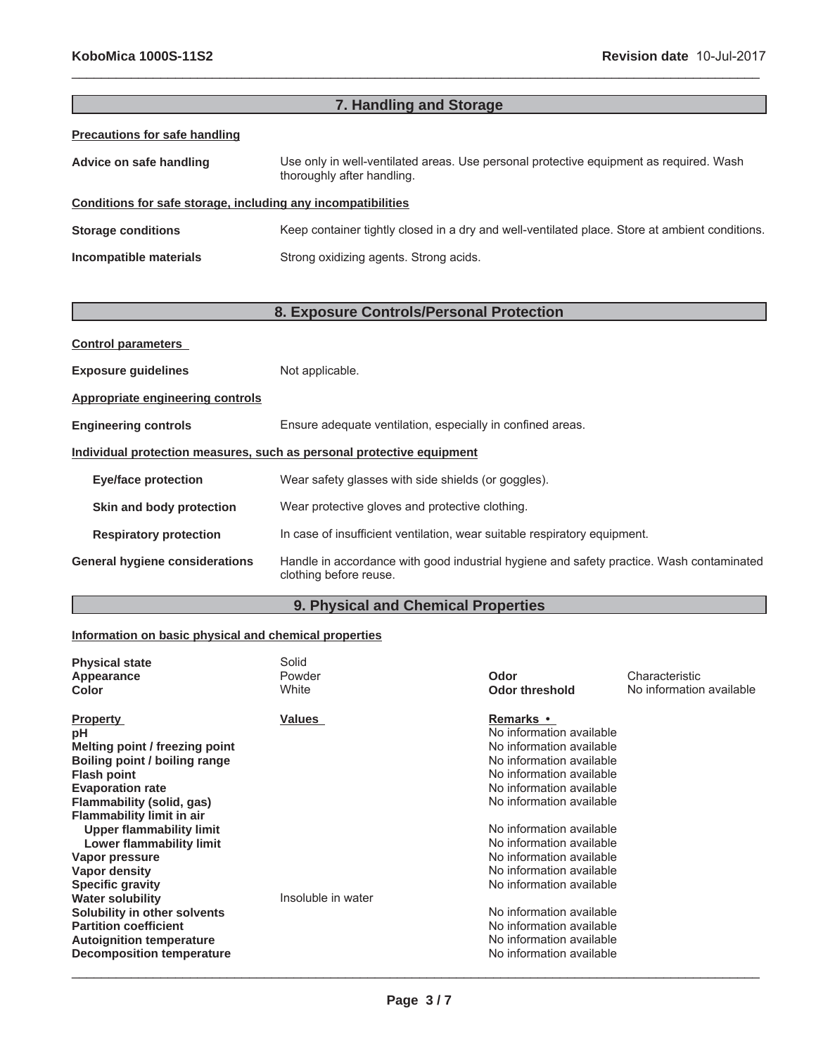| 7. Handling and Storage                                      |                                                                                                                      |  |
|--------------------------------------------------------------|----------------------------------------------------------------------------------------------------------------------|--|
| <b>Precautions for safe handling</b>                         |                                                                                                                      |  |
| Advice on safe handling                                      | Use only in well-ventilated areas. Use personal protective equipment as required. Wash<br>thoroughly after handling. |  |
| Conditions for safe storage, including any incompatibilities |                                                                                                                      |  |
| <b>Storage conditions</b>                                    | Keep container tightly closed in a dry and well-ventilated place. Store at ambient conditions.                       |  |
| Incompatible materials                                       | Strong oxidizing agents. Strong acids.                                                                               |  |

 $\_$  ,  $\_$  ,  $\_$  ,  $\_$  ,  $\_$  ,  $\_$  ,  $\_$  ,  $\_$  ,  $\_$  ,  $\_$  ,  $\_$  ,  $\_$  ,  $\_$  ,  $\_$  ,  $\_$  ,  $\_$  ,  $\_$  ,  $\_$  ,  $\_$  ,  $\_$  ,  $\_$  ,  $\_$  ,  $\_$  ,  $\_$  ,  $\_$  ,  $\_$  ,  $\_$  ,  $\_$  ,  $\_$  ,  $\_$  ,  $\_$  ,  $\_$  ,  $\_$  ,  $\_$  ,  $\_$  ,  $\_$  ,  $\_$  ,

# **8. Exposure Controls/Personal Protection**

| <b>Control parameters</b>                                             |                                                                                                                    |  |
|-----------------------------------------------------------------------|--------------------------------------------------------------------------------------------------------------------|--|
| <b>Exposure guidelines</b>                                            | Not applicable.                                                                                                    |  |
| Appropriate engineering controls                                      |                                                                                                                    |  |
| <b>Engineering controls</b>                                           | Ensure adequate ventilation, especially in confined areas.                                                         |  |
| Individual protection measures, such as personal protective equipment |                                                                                                                    |  |
| <b>Eye/face protection</b>                                            | Wear safety glasses with side shields (or goggles).                                                                |  |
| Skin and body protection                                              | Wear protective gloves and protective clothing.                                                                    |  |
| <b>Respiratory protection</b>                                         | In case of insufficient ventilation, wear suitable respiratory equipment.                                          |  |
| <b>General hygiene considerations</b>                                 | Handle in accordance with good industrial hygiene and safety practice. Wash contaminated<br>clothing before reuse. |  |

# **9. Physical and Chemical Properties**

### **Information on basic physical and chemical properties**

| <b>Physical state</b><br>Appearance<br>Color | Solid<br>Powder<br>White | Odor<br>Odor threshold   | Characteristic<br>No information available |
|----------------------------------------------|--------------------------|--------------------------|--------------------------------------------|
| <b>Property</b>                              | <b>Values</b>            | <b>Remarks</b> •         |                                            |
| рH                                           |                          | No information available |                                            |
| Melting point / freezing point               |                          | No information available |                                            |
| Boiling point / boiling range                |                          | No information available |                                            |
| <b>Flash point</b>                           |                          | No information available |                                            |
| <b>Evaporation rate</b>                      |                          | No information available |                                            |
| Flammability (solid, gas)                    |                          | No information available |                                            |
| <b>Flammability limit in air</b>             |                          |                          |                                            |
| <b>Upper flammability limit</b>              |                          | No information available |                                            |
| <b>Lower flammability limit</b>              |                          | No information available |                                            |
| Vapor pressure                               |                          | No information available |                                            |
| Vapor density                                |                          | No information available |                                            |
| <b>Specific gravity</b>                      |                          | No information available |                                            |
| <b>Water solubility</b>                      | Insoluble in water       |                          |                                            |
| Solubility in other solvents                 |                          | No information available |                                            |
| <b>Partition coefficient</b>                 |                          | No information available |                                            |
| <b>Autoignition temperature</b>              |                          | No information available |                                            |
| <b>Decomposition temperature</b>             |                          | No information available |                                            |
|                                              |                          |                          |                                            |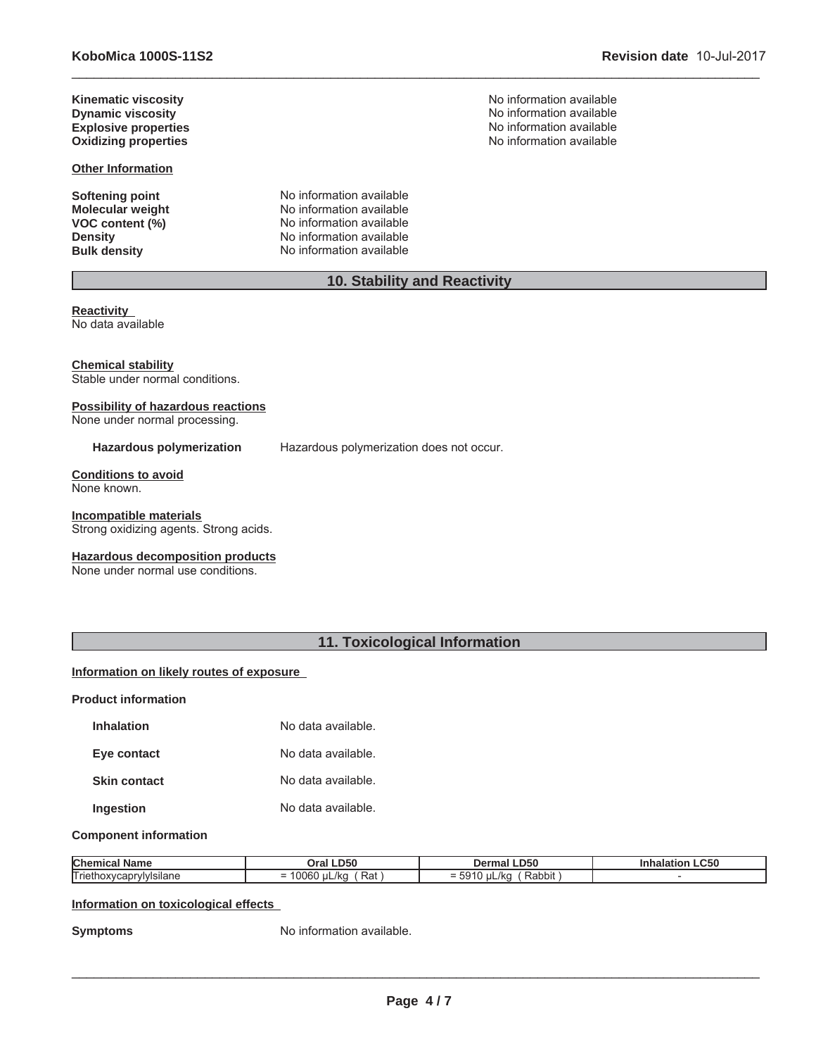**KoboMica 1000S-11S2 Revision date** 10-Jul-2017

**Explosive properties<br>Oxidizing properties** 

**Other Information**

**Molecular weight<br>VOC content (%)** 

**Softening point No information available**<br> **Molecular weight No information available VOC content (%)** No information available<br>
Density No information available **Density Density Density No information available Bulk density No information available No information available** 

**Kinematic viscosity**<br> **No information available**<br> **No information available**<br>
No information available **Dynamic viscosity**<br> **Explosive properties**<br> **Explosive properties**<br> **Explosive properties Oxidizing properties** No information available

# **10. Stability and Reactivity**

 $\_$  ,  $\_$  ,  $\_$  ,  $\_$  ,  $\_$  ,  $\_$  ,  $\_$  ,  $\_$  ,  $\_$  ,  $\_$  ,  $\_$  ,  $\_$  ,  $\_$  ,  $\_$  ,  $\_$  ,  $\_$  ,  $\_$  ,  $\_$  ,  $\_$  ,  $\_$  ,  $\_$  ,  $\_$  ,  $\_$  ,  $\_$  ,  $\_$  ,  $\_$  ,  $\_$  ,  $\_$  ,  $\_$  ,  $\_$  ,  $\_$  ,  $\_$  ,  $\_$  ,  $\_$  ,  $\_$  ,  $\_$  ,  $\_$  ,

**Reactivity** No data available

**Chemical stability** Stable under normal conditions.

### **Possibility of hazardous reactions**

None under normal processing.

**Hazardous polymerization** Hazardous polymerization does not occur.

**Conditions to avoid** None known.

**Incompatible materials** Strong oxidizing agents. Strong acids.

**Hazardous decomposition products**

None under normal use conditions.

# **11. Toxicological Information**

#### **Information on likely routes of exposure**

**Product information**

| <b>Inhalation</b>   | No data available. |
|---------------------|--------------------|
| Eye contact         | No data available. |
| <b>Skin contact</b> | No data available. |
| <b>Ingestion</b>    | No data available. |

#### **Component information**

| <b>Chemic</b>                                | <b>.D50</b>                                         | .D50                                            | $\sim$ $\sim$ $\sim$ |
|----------------------------------------------|-----------------------------------------------------|-------------------------------------------------|----------------------|
|                                              | Jral                                                | 10 <sup>2</sup>                                 | .uou                 |
| Trietl<br><b>Visilane</b><br>10 <sub>o</sub> | $\sim$ $\sim$ $\sim$<br>Rat<br>/kc<br>-<br>UUD<br>- | .<br>Rabbit<br>$\mathbf{u}$<br>$\sqrt{N}$<br>◡◡ |                      |

#### **Information on toxicological effects**

**Symptoms** No information available.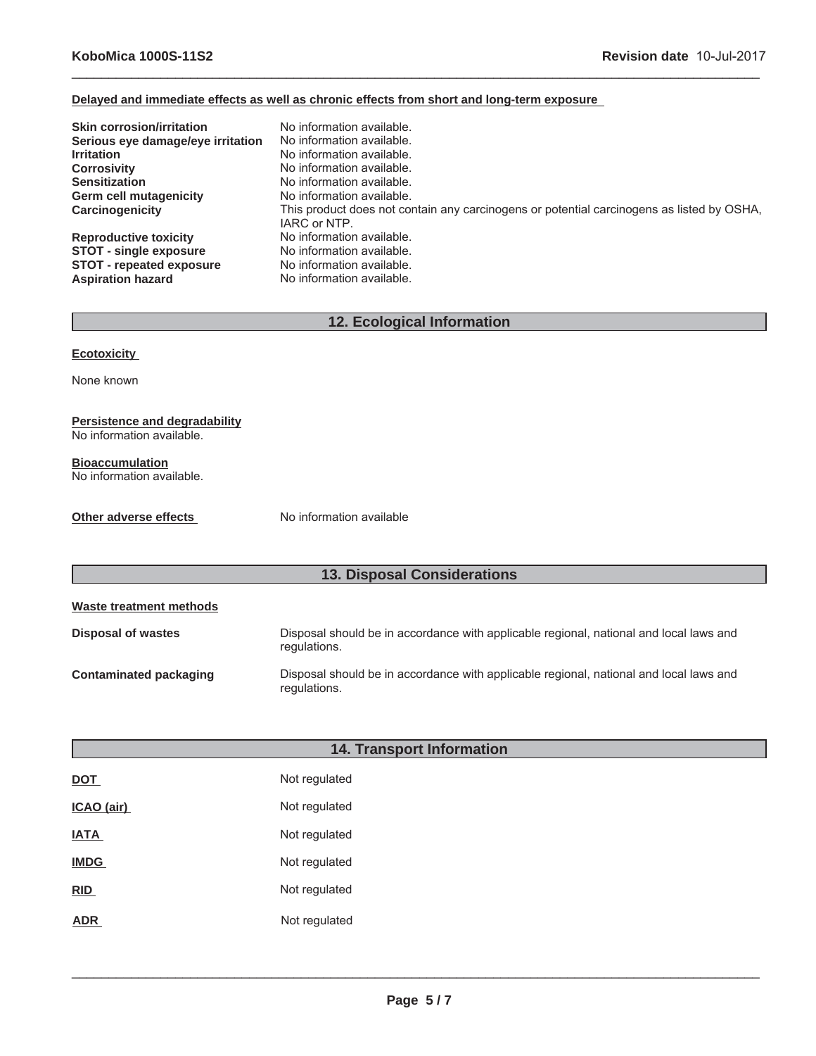#### **Delayed and immediate effects as well as chronic effects from short and long-term exposure**

| <b>Skin corrosion/irritation</b>  | No information available.                                                                                 |
|-----------------------------------|-----------------------------------------------------------------------------------------------------------|
| Serious eye damage/eye irritation | No information available.                                                                                 |
| <b>Irritation</b>                 | No information available.                                                                                 |
| <b>Corrosivity</b>                | No information available.                                                                                 |
| <b>Sensitization</b>              | No information available.                                                                                 |
| <b>Germ cell mutagenicity</b>     | No information available.                                                                                 |
| Carcinogenicity                   | This product does not contain any carcinogens or potential carcinogens as listed by OSHA,<br>IARC or NTP. |
| <b>Reproductive toxicity</b>      | No information available.                                                                                 |
| <b>STOT - single exposure</b>     | No information available.                                                                                 |
| <b>STOT - repeated exposure</b>   | No information available.                                                                                 |
| <b>Aspiration hazard</b>          | No information available.                                                                                 |

 $\_$  ,  $\_$  ,  $\_$  ,  $\_$  ,  $\_$  ,  $\_$  ,  $\_$  ,  $\_$  ,  $\_$  ,  $\_$  ,  $\_$  ,  $\_$  ,  $\_$  ,  $\_$  ,  $\_$  ,  $\_$  ,  $\_$  ,  $\_$  ,  $\_$  ,  $\_$  ,  $\_$  ,  $\_$  ,  $\_$  ,  $\_$  ,  $\_$  ,  $\_$  ,  $\_$  ,  $\_$  ,  $\_$  ,  $\_$  ,  $\_$  ,  $\_$  ,  $\_$  ,  $\_$  ,  $\_$  ,  $\_$  ,  $\_$  ,

# **12. Ecological Information**

#### **Ecotoxicity**

None known

#### **Persistence and degradability** No information available.

**Bioaccumulation** No information available.

#### **Other adverse effects** No information available

# **13. Disposal Considerations**

| Waste treatment methods |                                                                                                        |
|-------------------------|--------------------------------------------------------------------------------------------------------|
| Disposal of wastes      | Disposal should be in accordance with applicable regional, national and local laws and<br>regulations. |
| Contaminated packaging  | Disposal should be in accordance with applicable regional, national and local laws and<br>regulations. |

| <b>14. Transport Information</b> |               |  |
|----------------------------------|---------------|--|
| <b>DOT</b>                       | Not regulated |  |
| ICAO (air)                       | Not regulated |  |
| <b>IATA</b>                      | Not regulated |  |
| <b>IMDG</b>                      | Not regulated |  |
| RID                              | Not regulated |  |
| <b>ADR</b>                       | Not regulated |  |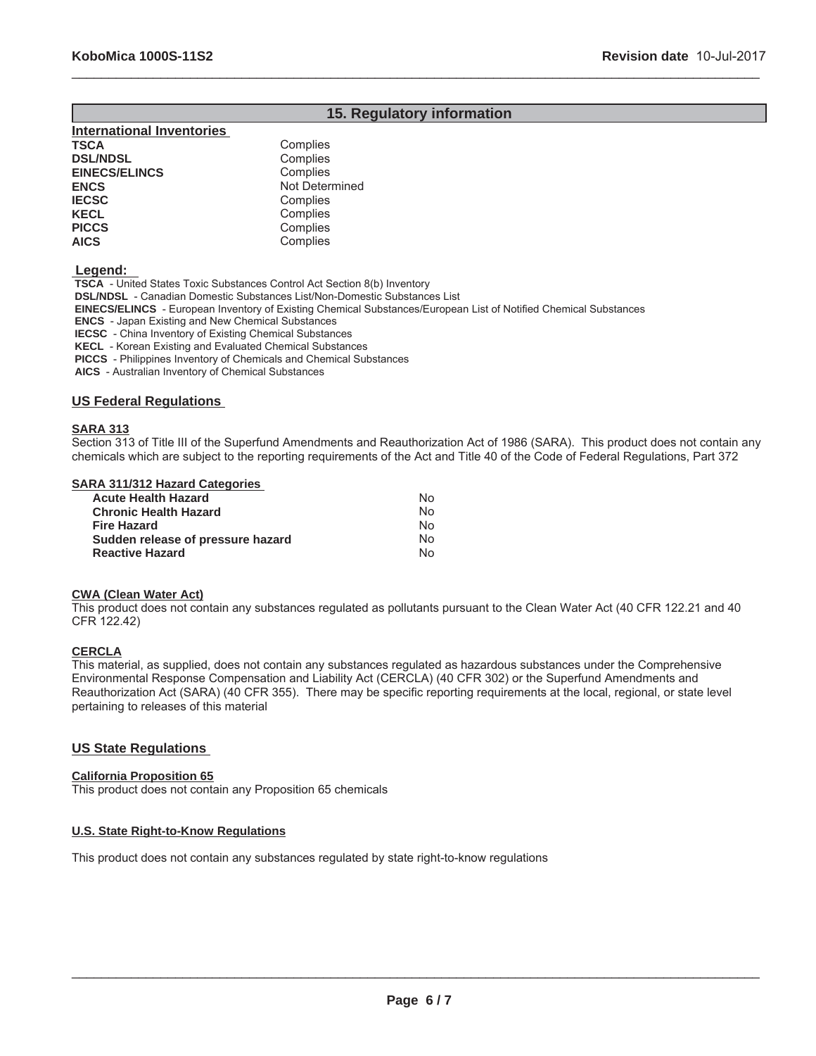### **15. Regulatory information**

 $\_$  ,  $\_$  ,  $\_$  ,  $\_$  ,  $\_$  ,  $\_$  ,  $\_$  ,  $\_$  ,  $\_$  ,  $\_$  ,  $\_$  ,  $\_$  ,  $\_$  ,  $\_$  ,  $\_$  ,  $\_$  ,  $\_$  ,  $\_$  ,  $\_$  ,  $\_$  ,  $\_$  ,  $\_$  ,  $\_$  ,  $\_$  ,  $\_$  ,  $\_$  ,  $\_$  ,  $\_$  ,  $\_$  ,  $\_$  ,  $\_$  ,  $\_$  ,  $\_$  ,  $\_$  ,  $\_$  ,  $\_$  ,  $\_$  ,

| <b>International Inventories</b> |                |
|----------------------------------|----------------|
| TSCA                             | Complies       |
| <b>DSL/NDSL</b>                  | Complies       |
| <b>EINECS/ELINCS</b>             | Complies       |
| <b>ENCS</b>                      | Not Determined |
| <b>IECSC</b>                     | Complies       |
| KECL                             | Complies       |
| <b>PICCS</b>                     | Complies       |
| <b>AICS</b>                      | Complies       |
|                                  |                |

 **Legend:** 

 **TSCA** - United States Toxic Substances Control Act Section 8(b) Inventory

 **DSL/NDSL** - Canadian Domestic Substances List/Non-Domestic Substances List

 **EINECS/ELINCS** - European Inventory of Existing Chemical Substances/European List of Notified Chemical Substances

 **ENCS** - Japan Existing and New Chemical Substances

 **IECSC** - China Inventory of Existing Chemical Substances

 **KECL** - Korean Existing and Evaluated Chemical Substances

 **PICCS** - Philippines Inventory of Chemicals and Chemical Substances

 **AICS** - Australian Inventory of Chemical Substances

#### **US Federal Regulations**

#### **SARA 313**

Section 313 of Title III of the Superfund Amendments and Reauthorization Act of 1986 (SARA). This product does not contain any chemicals which are subject to the reporting requirements of the Act and Title 40 of the Code of Federal Regulations, Part 372

#### **SARA 311/312 Hazard Categories**

| <b>Acute Health Hazard</b>        | Nο |
|-----------------------------------|----|
| <b>Chronic Health Hazard</b>      | N٥ |
| <b>Fire Hazard</b>                | N٥ |
| Sudden release of pressure hazard | N٥ |
| <b>Reactive Hazard</b>            | N٥ |

#### **CWA (Clean Water Act)**

This product does not contain any substances regulated as pollutants pursuant to the Clean Water Act (40 CFR 122.21 and 40 CFR 122.42)

#### **CERCLA**

This material, as supplied, does not contain any substances regulated as hazardous substances under the Comprehensive Environmental Response Compensation and Liability Act (CERCLA) (40 CFR 302) or the Superfund Amendments and Reauthorization Act (SARA) (40 CFR 355). There may be specific reporting requirements at the local, regional, or state level pertaining to releases of this material

#### **US State Regulations**

#### **California Proposition 65**

This product does not contain any Proposition 65 chemicals

#### **U.S. State Right-to-Know Regulations**

This product does not contain any substances regulated by state right-to-know regulations